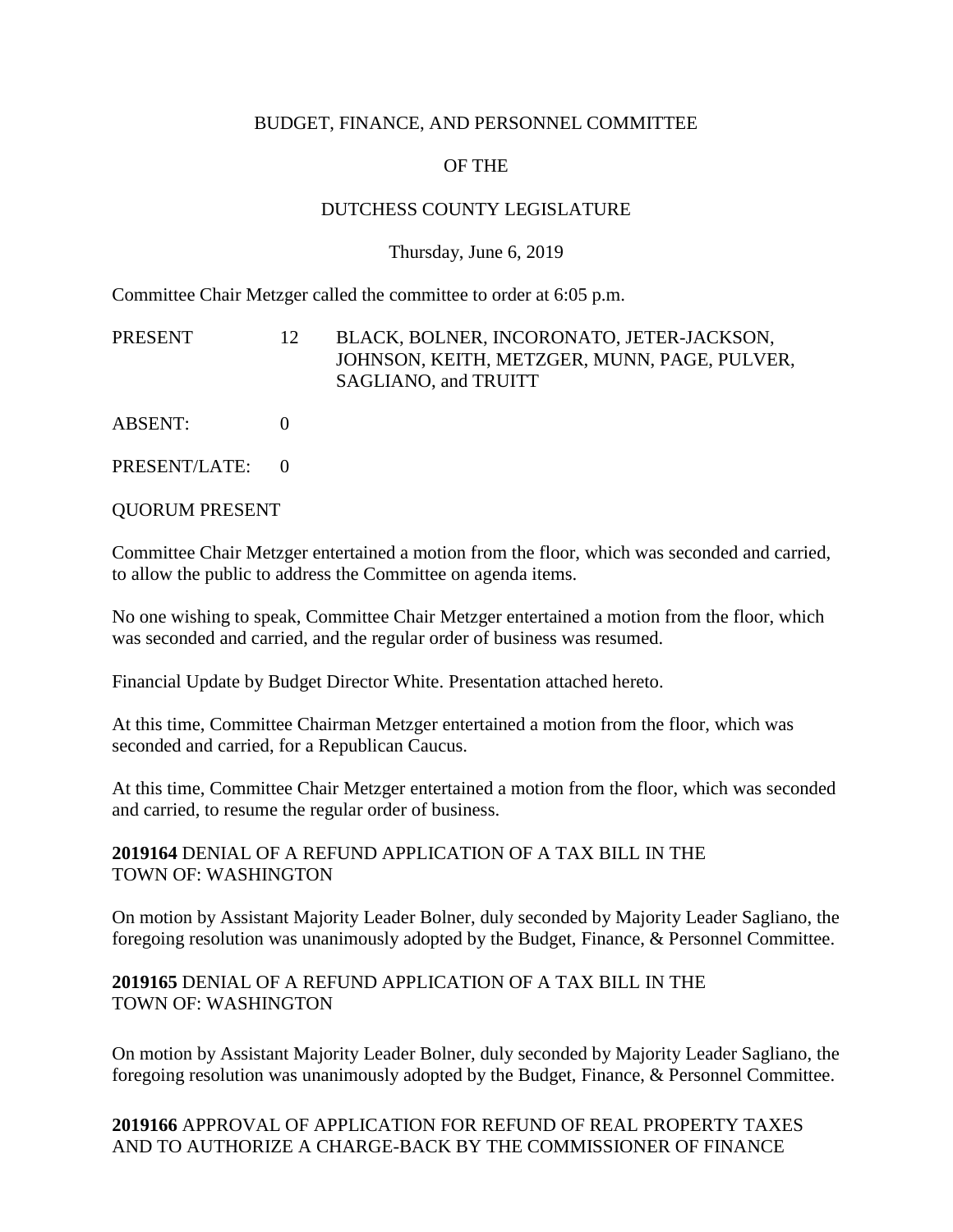### BUDGET, FINANCE, AND PERSONNEL COMMITTEE

# OF THE

### DUTCHESS COUNTY LEGISLATURE

#### Thursday, June 6, 2019

Committee Chair Metzger called the committee to order at 6:05 p.m.

PRESENT 12 BLACK, BOLNER, INCORONATO, JETER-JACKSON, JOHNSON, KEITH, METZGER, MUNN, PAGE, PULVER, SAGLIANO, and TRUITT

ABSENT: 0

PRESENT/LATE: 0

QUORUM PRESENT

Committee Chair Metzger entertained a motion from the floor, which was seconded and carried, to allow the public to address the Committee on agenda items.

No one wishing to speak, Committee Chair Metzger entertained a motion from the floor, which was seconded and carried, and the regular order of business was resumed.

Financial Update by Budget Director White. Presentation attached hereto.

At this time, Committee Chairman Metzger entertained a motion from the floor, which was seconded and carried, for a Republican Caucus.

At this time, Committee Chair Metzger entertained a motion from the floor, which was seconded and carried, to resume the regular order of business.

#### **2019164** DENIAL OF A REFUND APPLICATION OF A TAX BILL IN THE TOWN OF: WASHINGTON

On motion by Assistant Majority Leader Bolner, duly seconded by Majority Leader Sagliano, the foregoing resolution was unanimously adopted by the Budget, Finance, & Personnel Committee.

### **2019165** DENIAL OF A REFUND APPLICATION OF A TAX BILL IN THE TOWN OF: WASHINGTON

On motion by Assistant Majority Leader Bolner, duly seconded by Majority Leader Sagliano, the foregoing resolution was unanimously adopted by the Budget, Finance, & Personnel Committee.

## **2019166** APPROVAL OF APPLICATION FOR REFUND OF REAL PROPERTY TAXES AND TO AUTHORIZE A CHARGE-BACK BY THE COMMISSIONER OF FINANCE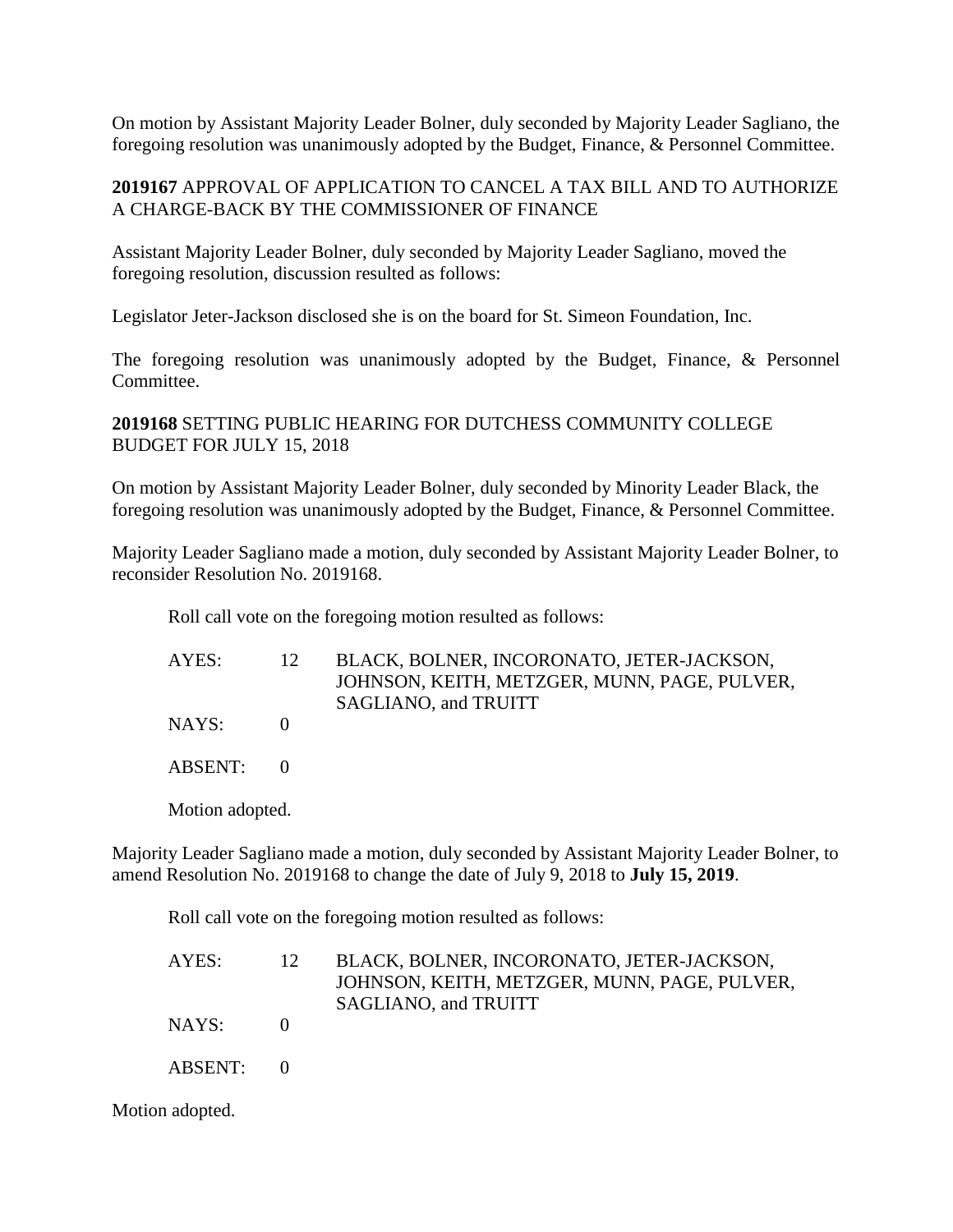On motion by Assistant Majority Leader Bolner, duly seconded by Majority Leader Sagliano, the foregoing resolution was unanimously adopted by the Budget, Finance, & Personnel Committee.

### **2019167** APPROVAL OF APPLICATION TO CANCEL A TAX BILL AND TO AUTHORIZE A CHARGE-BACK BY THE COMMISSIONER OF FINANCE

Assistant Majority Leader Bolner, duly seconded by Majority Leader Sagliano, moved the foregoing resolution, discussion resulted as follows:

Legislator Jeter-Jackson disclosed she is on the board for St. Simeon Foundation, Inc.

The foregoing resolution was unanimously adopted by the Budget, Finance, & Personnel Committee.

### **2019168** SETTING PUBLIC HEARING FOR DUTCHESS COMMUNITY COLLEGE BUDGET FOR JULY 15, 2018

On motion by Assistant Majority Leader Bolner, duly seconded by Minority Leader Black, the foregoing resolution was unanimously adopted by the Budget, Finance, & Personnel Committee.

Majority Leader Sagliano made a motion, duly seconded by Assistant Majority Leader Bolner, to reconsider Resolution No. 2019168.

Roll call vote on the foregoing motion resulted as follows:

| AYES: | BLACK, BOLNER, INCORONATO, JETER-JACKSON,    |
|-------|----------------------------------------------|
|       | JOHNSON, KEITH, METZGER, MUNN, PAGE, PULVER, |
|       | SAGLIANO, and TRUITT                         |
| NAYS: |                                              |

ABSENT: 0

Motion adopted.

Majority Leader Sagliano made a motion, duly seconded by Assistant Majority Leader Bolner, to amend Resolution No. 2019168 to change the date of July 9, 2018 to **July 15, 2019**.

Roll call vote on the foregoing motion resulted as follows:

| AYES:   | 12 | BLACK, BOLNER, INCORONATO, JETER-JACKSON,    |
|---------|----|----------------------------------------------|
|         |    | JOHNSON, KEITH, METZGER, MUNN, PAGE, PULVER, |
|         |    | SAGLIANO, and TRUITT                         |
| NAYS:   |    |                                              |
| ABSENT: |    |                                              |

Motion adopted.